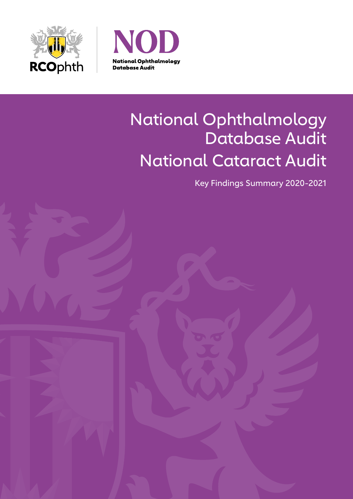



# National Ophthalmology Database Audit National Cataract Audit

Key Findings Summary 2020-2021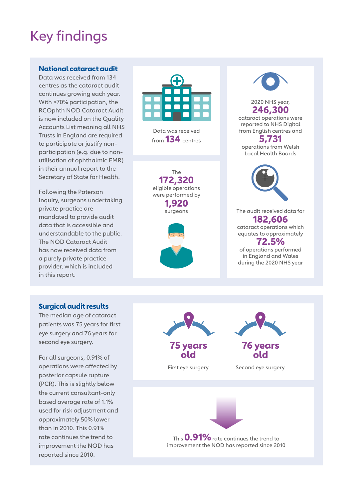# Key findings

#### **National cataract audit**

Data was received from 134 centres as the cataract audit continues growing each year. With >70% participation, the RCOphth NOD Cataract Audit is now included on the Quality Accounts List meaning all NHS Trusts in England are required to participate or justify nonparticipation (e.g. due to nonutilisation of ophthalmic EMR) in their annual report to the Secretary of State for Health.

Following the Paterson Inquiry, surgeons undertaking private practice are mandated to provide audit data that is accessible and understandable to the public. The NOD Cataract Audit has now received data from a purely private practice provider, which is included in this report.



Data was received from **134** centres

The **172,320** eligible operations were performed by **1,920** surgeons





2020 NHS year, **246,300**

cataract operations were reported to NHS Digital from English centres and

**5,731** operations from Welsh Local Health Boards



The audit received data for **182,606** cataract operations which equates to approximately **72.5%** of operations performed

in England and Wales during the 2020 NHS year

#### **Surgical audit results**

The median age of cataract patients was 75 years for first eye surgery and 76 years for second eye surgery.

For all surgeons, 0.91% of operations were affected by posterior capsule rupture (PCR). This is slightly below the current consultant-only based average rate of 1.1% used for risk adjustment and approximately 50% lower than in 2010. This 0.91% rate continues the trend to improvement the NOD has reported since 2010.



improvement the NOD has reported since 2010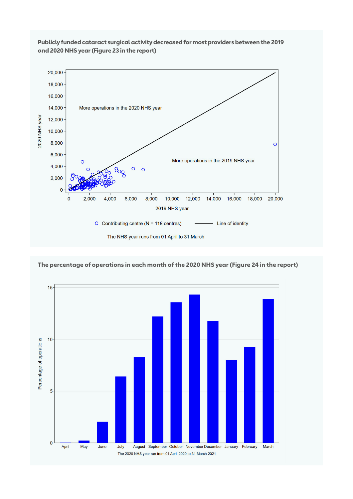

#### **Publicly funded cataract surgical activity decreased for most providers between the 2019 and 2020 NHS year (Figure 23 in the report)**



**The percentage of operations in each month of the 2020 NHS year (Figure 24 in the report)**